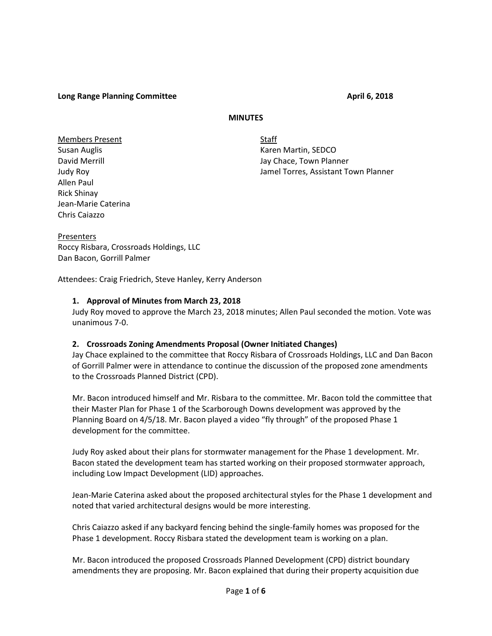**Long Range Planning Committee April 6, 2018**

### **MINUTES**

Members Present Staff Allen Paul Rick Shinay Jean-Marie Caterina Chris Caiazzo

Susan Auglis **Karen Martin, SEDCO** David Merrill **David Merrill** Jay Chace, Town Planner Judy Roy Jamel Torres, Assistant Town Planner

Presenters Roccy Risbara, Crossroads Holdings, LLC Dan Bacon, Gorrill Palmer

Attendees: Craig Friedrich, Steve Hanley, Kerry Anderson

### **1. Approval of Minutes from March 23, 2018**

Judy Roy moved to approve the March 23, 2018 minutes; Allen Paul seconded the motion. Vote was unanimous 7-0.

#### **2. Crossroads Zoning Amendments Proposal (Owner Initiated Changes)**

Jay Chace explained to the committee that Roccy Risbara of Crossroads Holdings, LLC and Dan Bacon of Gorrill Palmer were in attendance to continue the discussion of the proposed zone amendments to the Crossroads Planned District (CPD).

Mr. Bacon introduced himself and Mr. Risbara to the committee. Mr. Bacon told the committee that their Master Plan for Phase 1 of the Scarborough Downs development was approved by the Planning Board on 4/5/18. Mr. Bacon played a video "fly through" of the proposed Phase 1 development for the committee.

Judy Roy asked about their plans for stormwater management for the Phase 1 development. Mr. Bacon stated the development team has started working on their proposed stormwater approach, including Low Impact Development (LID) approaches.

Jean-Marie Caterina asked about the proposed architectural styles for the Phase 1 development and noted that varied architectural designs would be more interesting.

Chris Caiazzo asked if any backyard fencing behind the single-family homes was proposed for the Phase 1 development. Roccy Risbara stated the development team is working on a plan.

Mr. Bacon introduced the proposed Crossroads Planned Development (CPD) district boundary amendments they are proposing. Mr. Bacon explained that during their property acquisition due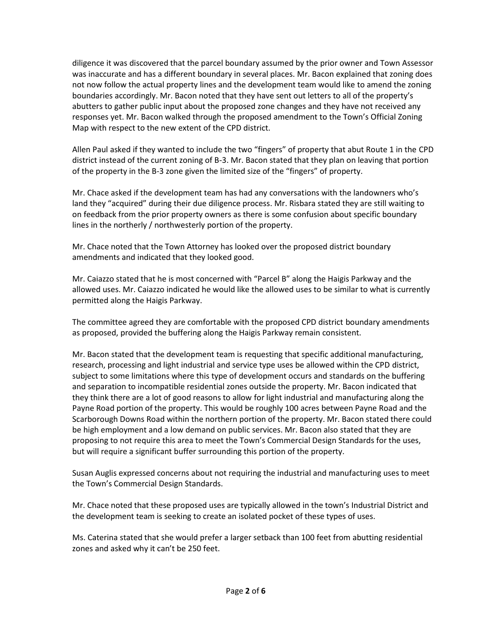diligence it was discovered that the parcel boundary assumed by the prior owner and Town Assessor was inaccurate and has a different boundary in several places. Mr. Bacon explained that zoning does not now follow the actual property lines and the development team would like to amend the zoning boundaries accordingly. Mr. Bacon noted that they have sent out letters to all of the property's abutters to gather public input about the proposed zone changes and they have not received any responses yet. Mr. Bacon walked through the proposed amendment to the Town's Official Zoning Map with respect to the new extent of the CPD district.

Allen Paul asked if they wanted to include the two "fingers" of property that abut Route 1 in the CPD district instead of the current zoning of B-3. Mr. Bacon stated that they plan on leaving that portion of the property in the B-3 zone given the limited size of the "fingers" of property.

Mr. Chace asked if the development team has had any conversations with the landowners who's land they "acquired" during their due diligence process. Mr. Risbara stated they are still waiting to on feedback from the prior property owners as there is some confusion about specific boundary lines in the northerly / northwesterly portion of the property.

Mr. Chace noted that the Town Attorney has looked over the proposed district boundary amendments and indicated that they looked good.

Mr. Caiazzo stated that he is most concerned with "Parcel B" along the Haigis Parkway and the allowed uses. Mr. Caiazzo indicated he would like the allowed uses to be similar to what is currently permitted along the Haigis Parkway.

The committee agreed they are comfortable with the proposed CPD district boundary amendments as proposed, provided the buffering along the Haigis Parkway remain consistent.

Mr. Bacon stated that the development team is requesting that specific additional manufacturing, research, processing and light industrial and service type uses be allowed within the CPD district, subject to some limitations where this type of development occurs and standards on the buffering and separation to incompatible residential zones outside the property. Mr. Bacon indicated that they think there are a lot of good reasons to allow for light industrial and manufacturing along the Payne Road portion of the property. This would be roughly 100 acres between Payne Road and the Scarborough Downs Road within the northern portion of the property. Mr. Bacon stated there could be high employment and a low demand on public services. Mr. Bacon also stated that they are proposing to not require this area to meet the Town's Commercial Design Standards for the uses, but will require a significant buffer surrounding this portion of the property.

Susan Auglis expressed concerns about not requiring the industrial and manufacturing uses to meet the Town's Commercial Design Standards.

Mr. Chace noted that these proposed uses are typically allowed in the town's Industrial District and the development team is seeking to create an isolated pocket of these types of uses.

Ms. Caterina stated that she would prefer a larger setback than 100 feet from abutting residential zones and asked why it can't be 250 feet.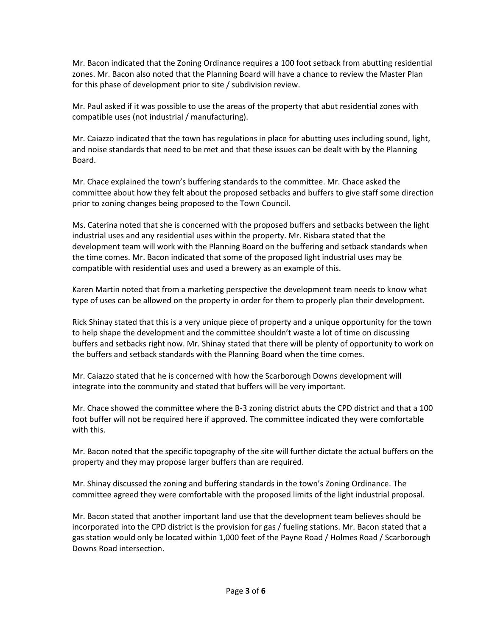Mr. Bacon indicated that the Zoning Ordinance requires a 100 foot setback from abutting residential zones. Mr. Bacon also noted that the Planning Board will have a chance to review the Master Plan for this phase of development prior to site / subdivision review.

Mr. Paul asked if it was possible to use the areas of the property that abut residential zones with compatible uses (not industrial / manufacturing).

Mr. Caiazzo indicated that the town has regulations in place for abutting uses including sound, light, and noise standards that need to be met and that these issues can be dealt with by the Planning Board.

Mr. Chace explained the town's buffering standards to the committee. Mr. Chace asked the committee about how they felt about the proposed setbacks and buffers to give staff some direction prior to zoning changes being proposed to the Town Council.

Ms. Caterina noted that she is concerned with the proposed buffers and setbacks between the light industrial uses and any residential uses within the property. Mr. Risbara stated that the development team will work with the Planning Board on the buffering and setback standards when the time comes. Mr. Bacon indicated that some of the proposed light industrial uses may be compatible with residential uses and used a brewery as an example of this.

Karen Martin noted that from a marketing perspective the development team needs to know what type of uses can be allowed on the property in order for them to properly plan their development.

Rick Shinay stated that this is a very unique piece of property and a unique opportunity for the town to help shape the development and the committee shouldn't waste a lot of time on discussing buffers and setbacks right now. Mr. Shinay stated that there will be plenty of opportunity to work on the buffers and setback standards with the Planning Board when the time comes.

Mr. Caiazzo stated that he is concerned with how the Scarborough Downs development will integrate into the community and stated that buffers will be very important.

Mr. Chace showed the committee where the B-3 zoning district abuts the CPD district and that a 100 foot buffer will not be required here if approved. The committee indicated they were comfortable with this.

Mr. Bacon noted that the specific topography of the site will further dictate the actual buffers on the property and they may propose larger buffers than are required.

Mr. Shinay discussed the zoning and buffering standards in the town's Zoning Ordinance. The committee agreed they were comfortable with the proposed limits of the light industrial proposal.

Mr. Bacon stated that another important land use that the development team believes should be incorporated into the CPD district is the provision for gas / fueling stations. Mr. Bacon stated that a gas station would only be located within 1,000 feet of the Payne Road / Holmes Road / Scarborough Downs Road intersection.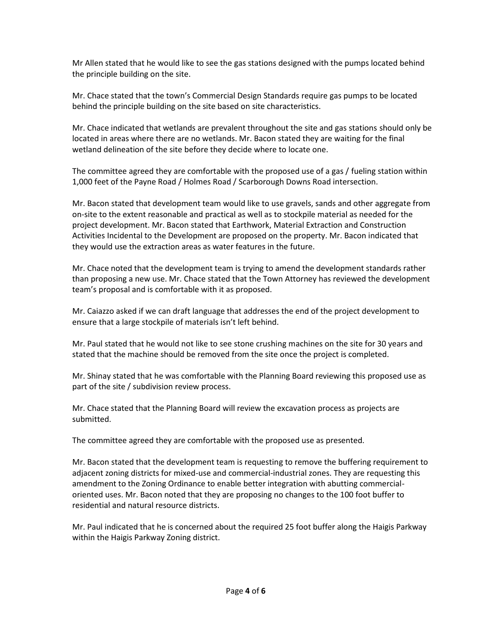Mr Allen stated that he would like to see the gas stations designed with the pumps located behind the principle building on the site.

Mr. Chace stated that the town's Commercial Design Standards require gas pumps to be located behind the principle building on the site based on site characteristics.

Mr. Chace indicated that wetlands are prevalent throughout the site and gas stations should only be located in areas where there are no wetlands. Mr. Bacon stated they are waiting for the final wetland delineation of the site before they decide where to locate one.

The committee agreed they are comfortable with the proposed use of a gas / fueling station within 1,000 feet of the Payne Road / Holmes Road / Scarborough Downs Road intersection.

Mr. Bacon stated that development team would like to use gravels, sands and other aggregate from on-site to the extent reasonable and practical as well as to stockpile material as needed for the project development. Mr. Bacon stated that Earthwork, Material Extraction and Construction Activities Incidental to the Development are proposed on the property. Mr. Bacon indicated that they would use the extraction areas as water features in the future.

Mr. Chace noted that the development team is trying to amend the development standards rather than proposing a new use. Mr. Chace stated that the Town Attorney has reviewed the development team's proposal and is comfortable with it as proposed.

Mr. Caiazzo asked if we can draft language that addresses the end of the project development to ensure that a large stockpile of materials isn't left behind.

Mr. Paul stated that he would not like to see stone crushing machines on the site for 30 years and stated that the machine should be removed from the site once the project is completed.

Mr. Shinay stated that he was comfortable with the Planning Board reviewing this proposed use as part of the site / subdivision review process.

Mr. Chace stated that the Planning Board will review the excavation process as projects are submitted.

The committee agreed they are comfortable with the proposed use as presented.

Mr. Bacon stated that the development team is requesting to remove the buffering requirement to adjacent zoning districts for mixed-use and commercial-industrial zones. They are requesting this amendment to the Zoning Ordinance to enable better integration with abutting commercial oriented uses. Mr. Bacon noted that they are proposing no changes to the 100 foot buffer to residential and natural resource districts.

Mr. Paul indicated that he is concerned about the required 25 foot buffer along the Haigis Parkway within the Haigis Parkway Zoning district.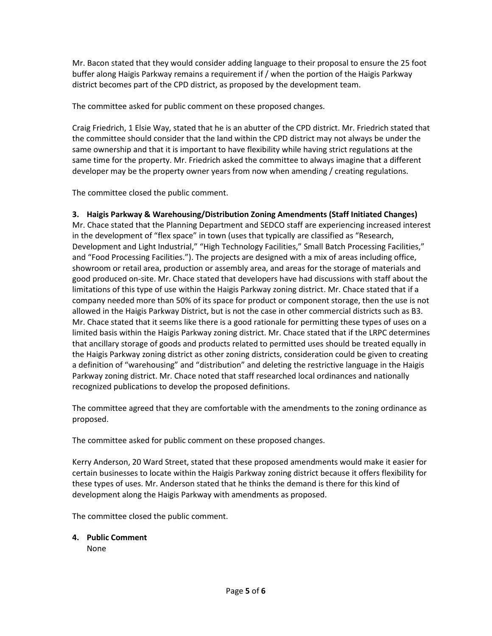Mr. Bacon stated that they would consider adding language to their proposal to ensure the 25 foot buffer along Haigis Parkway remains a requirement if / when the portion of the Haigis Parkway district becomes part of the CPD district, as proposed by the development team.

The committee asked for public comment on these proposed changes.

Craig Friedrich, 1 Elsie Way, stated that he is an abutter of the CPD district. Mr. Friedrich stated that the committee should consider that the land within the CPD district may not always be under the same ownership and that it is important to have flexibility while having strict regulations at the same time for the property. Mr. Friedrich asked the committee to always imagine that a different developer may be the property owner years from now when amending / creating regulations.

The committee closed the public comment.

## **3. Haigis Parkway & Warehousing/Distribution Zoning Amendments (Staff Initiated Changes)**

Mr. Chace stated that the Planning Department and SEDCO staff are experiencing increased interest in the development of "flex space" in town (uses that typically are classified as "Research, Development and Light Industrial," "High Technology Facilities," Small Batch Processing Facilities," and "Food Processing Facilities."). The projects are designed with a mix of areas including office, showroom or retail area, production or assembly area, and areas for the storage of materials and good produced on-site. Mr. Chace stated that developers have had discussions with staff about the limitations of this type of use within the Haigis Parkway zoning district. Mr. Chace stated that if a company needed more than 50% of its space for product or component storage, then the use is not allowed in the Haigis Parkway District, but is not the case in other commercial districts such as B3. Mr. Chace stated that it seems like there is a good rationale for permitting these types of uses on a limited basis within the Haigis Parkway zoning district. Mr. Chace stated that if the LRPC determines that ancillary storage of goods and products related to permitted uses should be treated equally in the Haigis Parkway zoning district as other zoning districts, consideration could be given to creating a definition of "warehousing" and "distribution" and deleting the restrictive language in the Haigis Parkway zoning district. Mr. Chace noted that staff researched local ordinances and nationally recognized publications to develop the proposed definitions.

The committee agreed that they are comfortable with the amendments to the zoning ordinance as proposed.

The committee asked for public comment on these proposed changes.

Kerry Anderson, 20 Ward Street, stated that these proposed amendments would make it easier for certain businesses to locate within the Haigis Parkway zoning district because it offers flexibility for these types of uses. Mr. Anderson stated that he thinks the demand is there for this kind of development along the Haigis Parkway with amendments as proposed.

The committee closed the public comment.

# **4. Public Comment**

None